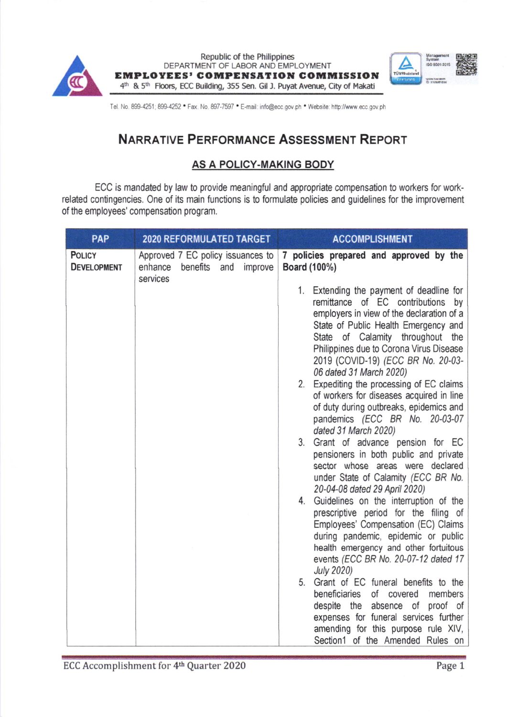



Tel. No. 899-4251; 899-4252 . Fax. No. 897-7597 . E-mail: info@ecc.gov.ph . Website: http://www.ecc.gov.ph

## NARRATIVE PERFORMANCE ASSESSMENT REPORT

## AS A POLICY.MAKING BODY

ECC is mandated by law to provide meaningful and appropriate compensation to workers for workrelated contingencies. One of its main functions is to formulate policies and guidelines for the improvement of the employees' compensation program.

| <b>PAP</b>                          | <b>2020 REFORMULATED TARGET</b>                                                        | <b>ACCOMPLISHMENT</b>                                                                                                                                                                                                                                                                                                                                                                                                                                                                                                                                                                                                                                                                          |  |  |  |  |
|-------------------------------------|----------------------------------------------------------------------------------------|------------------------------------------------------------------------------------------------------------------------------------------------------------------------------------------------------------------------------------------------------------------------------------------------------------------------------------------------------------------------------------------------------------------------------------------------------------------------------------------------------------------------------------------------------------------------------------------------------------------------------------------------------------------------------------------------|--|--|--|--|
| <b>POLICY</b><br><b>DEVELOPMENT</b> | Approved 7 EC policy issuances to<br>enhance<br>benefits<br>improve<br>and<br>services | 7 policies prepared and approved by the<br>Board (100%)<br>1. Extending the payment of deadline for<br>remittance of EC contributions by<br>employers in view of the declaration of a<br>State of Public Health Emergency and<br>State of Calamity throughout the<br>Philippines due to Corona Virus Disease<br>2019 (COVID-19) (ECC BR No. 20-03-<br>06 dated 31 March 2020)<br>2. Expediting the processing of EC claims<br>of workers for diseases acquired in line<br>of duty during outbreaks, epidemics and<br>pandemics (ECC BR No. 20-03-07<br>dated 31 March 2020)<br>3. Grant of advance pension for EC<br>pensioners in both public and private<br>sector whose areas were declared |  |  |  |  |
|                                     |                                                                                        | under State of Calamity (ECC BR No.<br>20-04-08 dated 29 April 2020)<br>4. Guidelines on the interruption of the<br>prescriptive period for the filing of<br>Employees' Compensation (EC) Claims<br>during pandemic, epidemic or public<br>health emergency and other fortuitous<br>events (ECC BR No. 20-07-12 dated 17<br><b>July 2020)</b><br>5. Grant of EC funeral benefits to the<br>beneficiaries<br>of covered<br>members<br>despite the<br>absence of<br>proof of<br>expenses for funeral services further<br>amending for this purpose rule XIV,<br>Section1 of the Amended Rules on                                                                                                 |  |  |  |  |